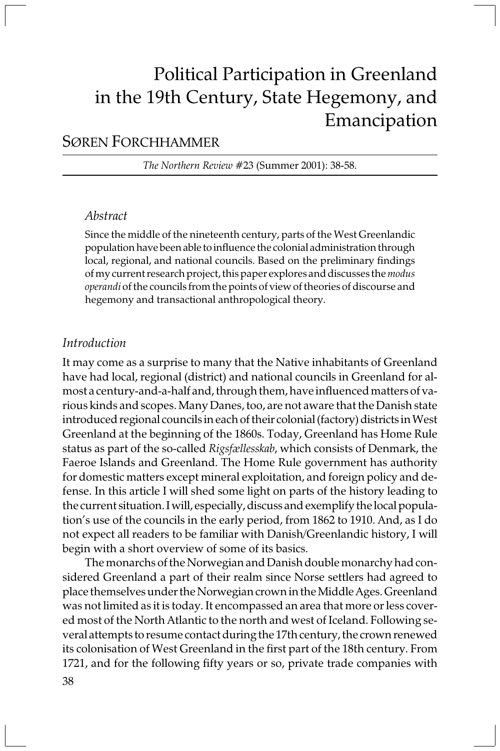# Political Participation in Greenland in the 19th Century, State Hegemony, and Emancipation

# <sup>S</sup>ØREN FORCHHAMMER

The Northern Review #23 (Summer 2001): 38-58.

# Abstract

Since the middle of the nineteenth century, parts of the West Greenlandic population have been able to influence the colonial administration through local, regional, and national councils. Based on the preliminary findings of my current research project, this paper explores and discusses the *modus* operandi of the councils from the points of view of theories of discourse and hegemony and transactional anthropological theory.

# Introduction

It may come as a surprise to many that the Native inhabitants of Greenland have had local, regional (district) and national councils in Greenland for almost a century-and-a-half and, through them, have influenced matters of various kinds and scopes. Many Danes, too, are not aware that the Danish state introduced regional councils in each of their colonial (factory) districts in West Greenland at the beginning of the 1860s. Today, Greenland has Home Rule status as part of the so-called Rigsfællesskab, which consists of Denmark, the Faeroe Islands and Greenland. The Home Rule government has authority for domestic matters except mineral exploitation, and foreign policy and defense. In this article I will shed some light on parts of the history leading to the current situation. I will, especially, discuss and exemplify the local population's use of the councils in the early period, from 1862 to 1910. And, as I do not expect all readers to be familiar with Danish/Greenlandic history, I will begin with a short overview of some of its basics.

The monarchs of the Norwegian and Danish double monarchy had considered Greenland a part of their realm since Norse settlers had agreed to place themselves under the Norwegian crown in the Middle Ages. Greenland was not limited as it is today. It encompassed an area that more or less covered most of the North Atlantic to the north and west of Iceland. Following several attempts to resume contact during the 17th century, the crown renewed its colonisation of West Greenland in the first part of the 18th century. From 1721, and for the following fifty years or so, private trade companies with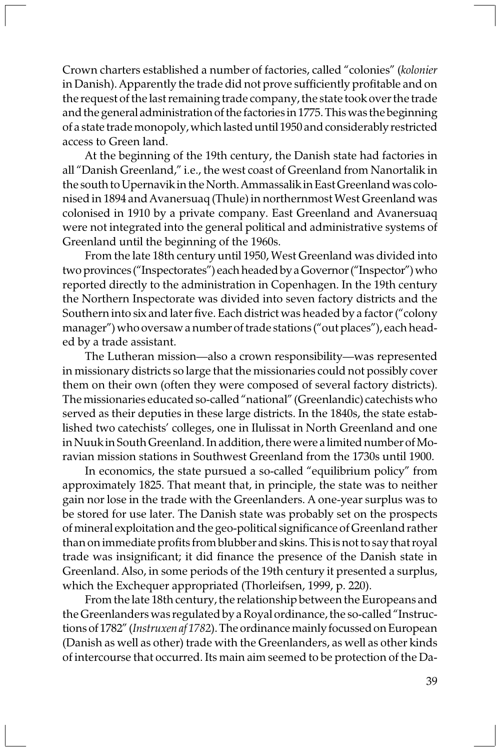Crown charters established a number of factories, called "colonies" (kolonier in Danish). Apparently the trade did not prove sufficiently profitable and on the request of the last remaining trade company, the state took over the trade and the general administration of the factories in 1775. This was the beginning of a state trade monopoly, which lasted until 1950 and considerably restricted access to Green land.

At the beginning of the 19th century, the Danish state had factories in all "Danish Greenland," i.e., the west coast of Greenland from Nanortalik in the south to Upernavik in the North. Ammassalik in East Greenland was colonised in 1894 and Avanersuaq (Thule) in northernmost West Greenland was colonised in 1910 by a private company. East Greenland and Avanersuaq were not integrated into the general political and administrative systems of Greenland until the beginning of the 1960s.

From the late 18th century until 1950, West Greenland was divided into two provinces ("Inspectorates") each headed by a Governor ("Inspector") who reported directly to the administration in Copenhagen. In the 19th century the Northern Inspectorate was divided into seven factory districts and the Southern into six and later five. Each district was headed by a factor ("colony manager") who oversaw a number of trade stations ("out places"), each headed by a trade assistant.

The Lutheran mission—also a crown responsibility—was represented in missionary districts so large that the missionaries could not possibly cover them on their own (often they were composed of several factory districts). The missionaries educated so-called "national" (Greenlandic) catechists who served as their deputies in these large districts. In the 1840s, the state established two catechists' colleges, one in Ilulissat in North Greenland and one in Nuuk in South Greenland. In addition, there were a limited number of Moravian mission stations in Southwest Greenland from the 1730s until 1900.

In economics, the state pursued a so-called "equilibrium policy" from approximately 1825. That meant that, in principle, the state was to neither gain nor lose in the trade with the Greenlanders. A one-year surplus was to be stored for use later. The Danish state was probably set on the prospects of mineral exploitation and the geo-political significance of Greenland rather than on immediate profits from blubber and skins. This is not to say that royal trade was insignificant; it did finance the presence of the Danish state in Greenland. Also, in some periods of the 19th century it presented a surplus, which the Exchequer appropriated (Thorleifsen, 1999, p. 220).

From the late 18th century, the relationship between the Europeans and the Greenlanders was regulated by a Royal ordinance, the so-called "Instructions of 1782" (Instruxen af 1782). The ordinance mainly focussed on European (Danish as well as other) trade with the Greenlanders, as well as other kinds of intercourse that occurred. Its main aim seemed to be protection of the Da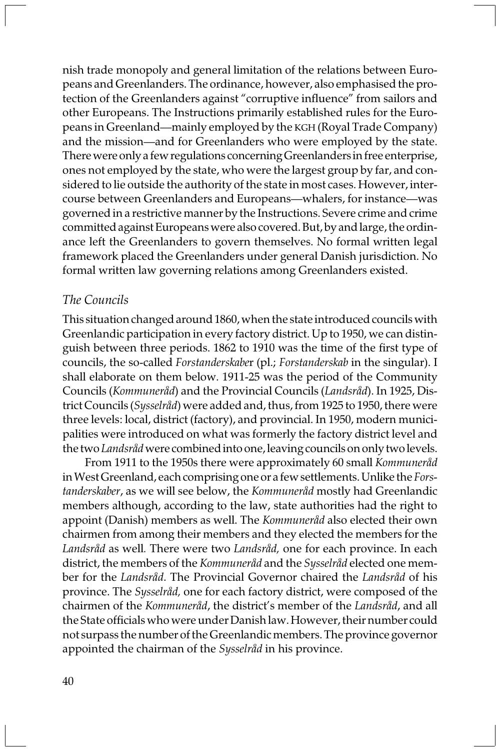nish trade monopoly and general limitation of the relations between Europeans and Greenlanders. The ordinance, however, also emphasised the protection of the Greenlanders against "corruptive influence" from sailors and other Europeans. The Instructions primarily established rules for the Europeans in Greenland—mainly employed by the KGH (Royal Trade Company) and the mission—and for Greenlanders who were employed by the state. There were only a few regulations concerning Greenlanders in free enterprise, ones not employed by the state, who were the largest group by far, and considered to lie outside the authority of the state in most cases. However, intercourse between Greenlanders and Europeans—whalers, for instance—was governed in a restrictive manner by the Instructions. Severe crime and crime committed against Europeans were also covered. But, by and large, the ordinance left the Greenlanders to govern themselves. No formal written legal framework placed the Greenlanders under general Danish jurisdiction. No formal written law governing relations among Greenlanders existed.

# The Councils

This situation changed around 1860, when the state introduced councils with Greenlandic participation in every factory district. Up to 1950, we can distinguish between three periods. 1862 to 1910 was the time of the first type of councils, the so-called Forstanderskaber (pl.; Forstanderskab in the singular). I shall elaborate on them below. 1911-25 was the period of the Community Councils (Kommuneråd) and the Provincial Councils (Landsråd). In 1925, District Councils (Sysselråd) were added and, thus, from 1925 to 1950, there were three levels: local, district (factory), and provincial. In 1950, modern municipalities were introduced on what was formerly the factory district level and the two Landsråd were combined into one, leaving councils on only two levels.

From 1911 to the 1950s there were approximately 60 small Kommuneråd in West Greenland, each comprising one or a few settlements. Unlike the Forstanderskaber, as we will see below, the Kommuneråd mostly had Greenlandic members although, according to the law, state authorities had the right to appoint (Danish) members as well. The Kommuneråd also elected their own chairmen from among their members and they elected the members for the Landsråd as well. There were two Landsråd, one for each province. In each district, the members of the Kommuneråd and the Sysselråd elected one member for the Landsråd. The Provincial Governor chaired the Landsråd of his province. The Sysselråd, one for each factory district, were composed of the chairmen of the Kommuneråd, the district's member of the Landsråd, and all the State officials who were under Danish law. However, their number could not surpass the number of the Greenlandic members. The province governor appointed the chairman of the Sysselråd in his province.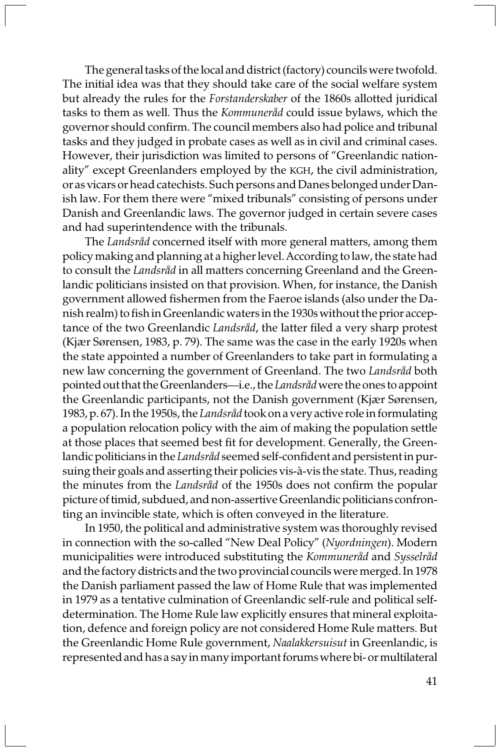The general tasks of the local and district (factory) councils were twofold. The initial idea was that they should take care of the social welfare system but already the rules for the Forstanderskaber of the 1860s allotted juridical tasks to them as well. Thus the Kommuneråd could issue bylaws, which the governor should confirm. The council members also had police and tribunal tasks and they judged in probate cases as well as in civil and criminal cases. However, their jurisdiction was limited to persons of "Greenlandic nationality" except Greenlanders employed by the KGH, the civil administration, or as vicars or head catechists. Such persons and Danes belonged under Danish law. For them there were "mixed tribunals" consisting of persons under Danish and Greenlandic laws. The governor judged in certain severe cases and had superintendence with the tribunals.

The Landsråd concerned itself with more general matters, among them policy making and planning at a higher level. According to law, the state had to consult the Landsråd in all matters concerning Greenland and the Greenlandic politicians insisted on that provision. When, for instance, the Danish government allowed fishermen from the Faeroe islands (also under the Danish realm) to fish in Greenlandic waters in the 1930s without the prior acceptance of the two Greenlandic Landsråd, the latter filed a very sharp protest (Kjær Sørensen, 1983, p. 79). The same was the case in the early 1920s when the state appointed a number of Greenlanders to take part in formulating a new law concerning the government of Greenland. The two Landsråd both pointed out that the Greenlanders—i.e., the Landsråd were the ones to appoint the Greenlandic participants, not the Danish government (Kjær Sørensen, 1983, p. 67). In the 1950s, the Landsråd took on a very active role in formulating a population relocation policy with the aim of making the population settle at those places that seemed best fit for development. Generally, the Greenlandic politicians in the Landsråd seemed self-confident and persistent in pursuing their goals and asserting their policies vis-à-vis the state. Thus, reading the minutes from the Landsråd of the 1950s does not confirm the popular picture of timid, subdued, and non-assertive Greenlandic politicians confronting an invincible state, which is often conveyed in the literature.

In 1950, the political and administrative system was thoroughly revised in connection with the so-called "New Deal Policy" (Nyordningen). Modern municipalities were introduced substituting the Kommuneråd and Sysselråd and the factory districts and the two provincial councils were merged. In 1978 the Danish parliament passed the law of Home Rule that was implemented in 1979 as a tentative culmination of Greenlandic self-rule and political selfdetermination. The Home Rule law explicitly ensures that mineral exploitation, defence and foreign policy are not considered Home Rule matters. But the Greenlandic Home Rule government, Naalakkersuisut in Greenlandic, is represented and has a say in many important forums where bi- or multilateral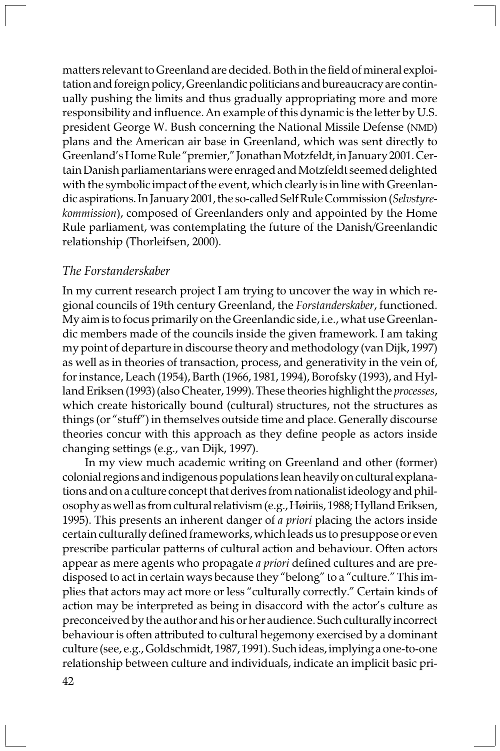matters relevant to Greenland are decided. Both in the field of mineral exploitation and foreign policy, Greenlandic politicians and bureaucracy are continually pushing the limits and thus gradually appropriating more and more responsibility and influence. An example of this dynamic is the letter by U.S. president George W. Bush concerning the National Missile Defense (NMD) plans and the American air base in Greenland, which was sent directly to Greenland's Home Rule "premier," Jonathan Motzfeldt, in January 2001. Certain Danish parliamentarians were enraged and Motzfeldt seemed delighted with the symbolic impact of the event, which clearly is in line with Greenlandic aspirations. In January 2001, the so-called Self Rule Commission (Selvstyrekommission), composed of Greenlanders only and appointed by the Home Rule parliament, was contemplating the future of the Danish/Greenlandic relationship (Thorleifsen, 2000).

#### The Forstanderskaber

In my current research project I am trying to uncover the way in which regional councils of 19th century Greenland, the Forstanderskaber, functioned. My aim is to focus primarily on the Greenlandic side, i.e., what use Greenlandic members made of the councils inside the given framework. I am taking my point of departure in discourse theory and methodology (van Dijk, 1997) as well as in theories of transaction, process, and generativity in the vein of, for instance, Leach (1954), Barth (1966, 1981, 1994), Borofsky (1993), and Hylland Eriksen (1993) (also Cheater, 1999). These theories highlight the processes, which create historically bound (cultural) structures, not the structures as things (or "stuff") in themselves outside time and place. Generally discourse theories concur with this approach as they define people as actors inside changing settings (e.g., van Dijk, 1997).

In my view much academic writing on Greenland and other (former) colonial regions and indigenous populations lean heavily on cultural explanations and on a culture concept that derives from nationalist ideology and philosophy as well as from cultural relativism (e.g., Høiriis, 1988; Hylland Eriksen, 1995). This presents an inherent danger of a *priori* placing the actors inside certain culturally defined frameworks, which leads us to presuppose or even prescribe particular patterns of cultural action and behaviour. Often actors appear as mere agents who propagate a priori defined cultures and are predisposed to act in certain ways because they "belong" to a "culture." This implies that actors may act more or less "culturally correctly." Certain kinds of action may be interpreted as being in disaccord with the actor's culture as preconceived by the author and his or her audience. Such culturally incorrect behaviour is often attributed to cultural hegemony exercised by a dominant culture (see, e.g., Goldschmidt, 1987, 1991). Such ideas, implying a one-to-one relationship between culture and individuals, indicate an implicit basic pri-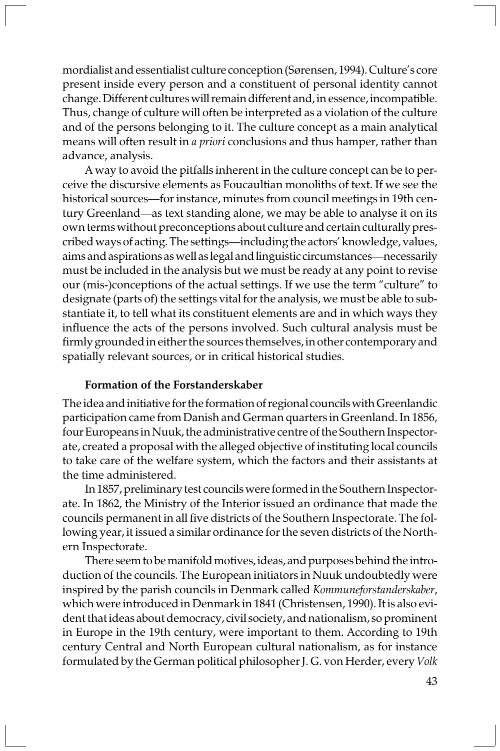mordialist and essentialist culture conception (Sørensen, 1994). Culture's core present inside every person and a constituent of personal identity cannot change. Different cultures will remain different and, in essence, incompatible. Thus, change of culture will often be interpreted as a violation of the culture and of the persons belonging to it. The culture concept as a main analytical means will often result in a priori conclusions and thus hamper, rather than advance, analysis.

A way to avoid the pitfalls inherent in the culture concept can be to perceive the discursive elements as Foucaultian monoliths of text. If we see the historical sources—for instance, minutes from council meetings in 19th century Greenland—as text standing alone, we may be able to analyse it on its own terms without preconceptions about culture and certain culturally prescribed ways of acting. The settings—including the actors' knowledge, values, aims and aspirations as well as legal and linguistic circumstances—necessarily must be included in the analysis but we must be ready at any point to revise our (mis-)conceptions of the actual settings. If we use the term "culture" to designate (parts of) the settings vital for the analysis, we must be able to substantiate it, to tell what its constituent elements are and in which ways they influence the acts of the persons involved. Such cultural analysis must be firmly grounded in either the sources themselves, in other contemporary and spatially relevant sources, or in critical historical studies.

#### Formation of the Forstanderskaber

The idea and initiative for the formation of regional councils with Greenlandic participation came from Danish and German quarters in Greenland. In 1856, four Europeans in Nuuk, the administrative centre of the Southern Inspectorate, created a proposal with the alleged objective of instituting local councils to take care of the welfare system, which the factors and their assistants at the time administered.

In 1857, preliminary test councils were formed in the Southern Inspectorate. In 1862, the Ministry of the Interior issued an ordinance that made the councils permanent in all five districts of the Southern Inspectorate. The following year, it issued a similar ordinance for the seven districts of the Northern Inspectorate.

There seem to be manifold motives, ideas, and purposes behind the introduction of the councils. The European initiators in Nuuk undoubtedly were inspired by the parish councils in Denmark called Kommuneforstanderskaber, which were introduced in Denmark in 1841 (Christensen, 1990). It is also evident that ideas about democracy, civil society, and nationalism, so prominent in Europe in the 19th century, were important to them. According to 19th century Central and North European cultural nationalism, as for instance formulated by the German political philosopher J. G. von Herder, every Volk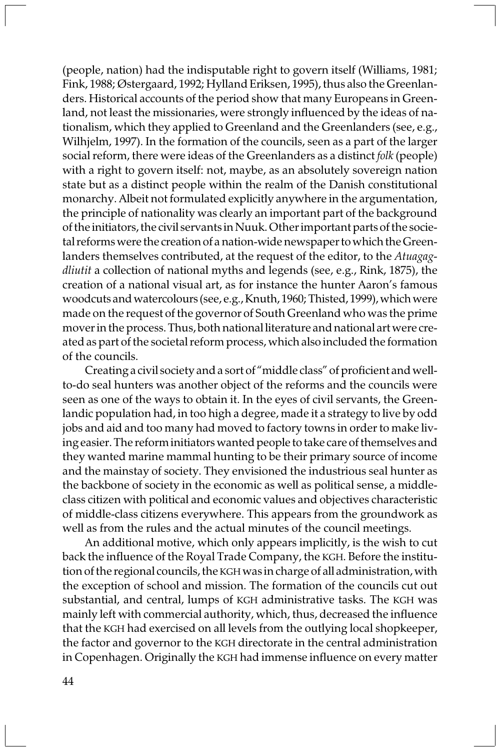(people, nation) had the indisputable right to govern itself (Williams, 1981; Fink, 1988; Østergaard, 1992; Hylland Eriksen, 1995), thus also the Greenlanders. Historical accounts of the period show that many Europeans in Greenland, not least the missionaries, were strongly influenced by the ideas of nationalism, which they applied to Greenland and the Greenlanders (see, e.g., Wilhjelm, 1997). In the formation of the councils, seen as a part of the larger social reform, there were ideas of the Greenlanders as a distinct folk (people) with a right to govern itself: not, maybe, as an absolutely sovereign nation state but as a distinct people within the realm of the Danish constitutional monarchy. Albeit not formulated explicitly anywhere in the argumentation, the principle of nationality was clearly an important part of the background of the initiators, the civil servants in Nuuk. Other important parts of the societal reforms were the creation of a nation-wide newspaper to which the Greenlanders themselves contributed, at the request of the editor, to the Atuagagdliutit a collection of national myths and legends (see, e.g., Rink, 1875), the creation of a national visual art, as for instance the hunter Aaron's famous woodcuts and watercolours (see, e.g., Knuth, 1960; Thisted, 1999), which were made on the request of the governor of South Greenland who was the prime mover in the process. Thus, both national literature and national art were created as part of the societal reform process, which also included the formation of the councils.

Creating a civil society and a sort of "middle class" of proficient and wellto-do seal hunters was another object of the reforms and the councils were seen as one of the ways to obtain it. In the eyes of civil servants, the Greenlandic population had, in too high a degree, made it a strategy to live by odd jobs and aid and too many had moved to factory towns in order to make living easier. The reform initiators wanted people to take care of themselves and they wanted marine mammal hunting to be their primary source of income and the mainstay of society. They envisioned the industrious seal hunter as the backbone of society in the economic as well as political sense, a middleclass citizen with political and economic values and objectives characteristic of middle-class citizens everywhere. This appears from the groundwork as well as from the rules and the actual minutes of the council meetings.

An additional motive, which only appears implicitly, is the wish to cut back the influence of the Royal Trade Company, the KGH. Before the institution of the regional councils, the KGH was in charge of all administration, with the exception of school and mission. The formation of the councils cut out substantial, and central, lumps of KGH administrative tasks. The KGH was mainly left with commercial authority, which, thus, decreased the influence that the KGH had exercised on all levels from the outlying local shopkeeper, the factor and governor to the KGH directorate in the central administration in Copenhagen. Originally the KGH had immense influence on every matter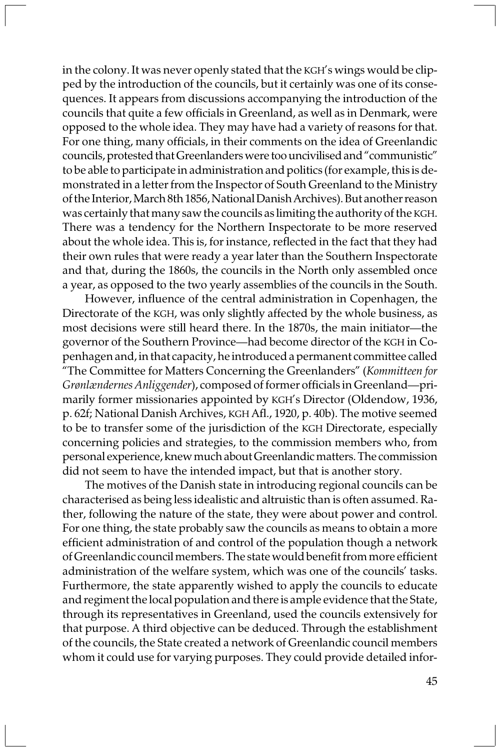in the colony. It was never openly stated that the KGH's wings would be clipped by the introduction of the councils, but it certainly was one of its consequences. It appears from discussions accompanying the introduction of the councils that quite a few officials in Greenland, as well as in Denmark, were opposed to the whole idea. They may have had a variety of reasons for that. For one thing, many officials, in their comments on the idea of Greenlandic councils, protested that Greenlanders were too uncivilised and "communistic" to be able to participate in administration and politics (for example, this is demonstrated in a letter from the Inspector of South Greenland to the Ministry of the Interior, March 8th 1856, National Danish Archives). But another reason was certainly that many saw the councils as limiting the authority of the KGH. There was a tendency for the Northern Inspectorate to be more reserved about the whole idea. This is, for instance, reflected in the fact that they had their own rules that were ready a year later than the Southern Inspectorate and that, during the 1860s, the councils in the North only assembled once a year, as opposed to the two yearly assemblies of the councils in the South.

However, influence of the central administration in Copenhagen, the Directorate of the KGH, was only slightly affected by the whole business, as most decisions were still heard there. In the 1870s, the main initiator—the governor of the Southern Province—had become director of the KGH in Copenhagen and, in that capacity, he introduced a permanent committee called "The Committee for Matters Concerning the Greenlanders" (Kommitteen for Grønlændernes Anliggender), composed of former officials in Greenland—primarily former missionaries appointed by KGH's Director (Oldendow, 1936, p. 62f; National Danish Archives, KGH Afl., 1920, p. 40b). The motive seemed to be to transfer some of the jurisdiction of the KGH Directorate, especially concerning policies and strategies, to the commission members who, from personal experience, knew much about Greenlandic matters. The commission did not seem to have the intended impact, but that is another story.

The motives of the Danish state in introducing regional councils can be characterised as being less idealistic and altruistic than is often assumed. Rather, following the nature of the state, they were about power and control. For one thing, the state probably saw the councils as means to obtain a more efficient administration of and control of the population though a network of Greenlandic council members. The state would benefit from more efficient administration of the welfare system, which was one of the councils' tasks. Furthermore, the state apparently wished to apply the councils to educate and regiment the local population and there is ample evidence that the State, through its representatives in Greenland, used the councils extensively for that purpose. A third objective can be deduced. Through the establishment of the councils, the State created a network of Greenlandic council members whom it could use for varying purposes. They could provide detailed infor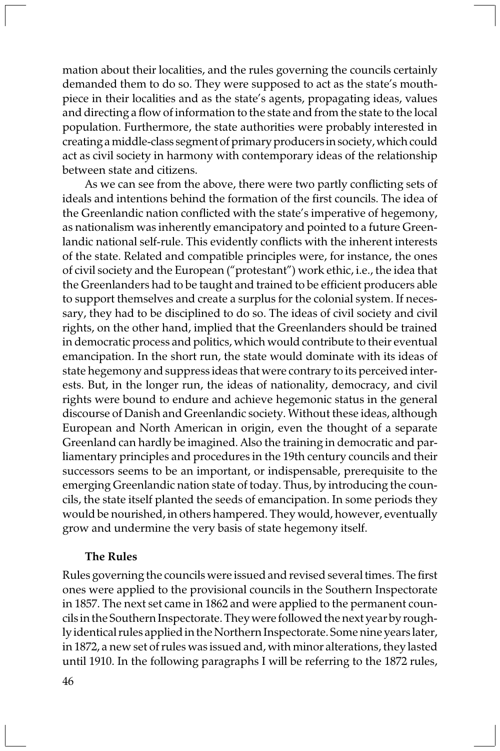mation about their localities, and the rules governing the councils certainly demanded them to do so. They were supposed to act as the state's mouthpiece in their localities and as the state's agents, propagating ideas, values and directing a flow of information to the state and from the state to the local population. Furthermore, the state authorities were probably interested in creating a middle-class segment of primary producers in society, which could act as civil society in harmony with contemporary ideas of the relationship between state and citizens.

As we can see from the above, there were two partly conflicting sets of ideals and intentions behind the formation of the first councils. The idea of the Greenlandic nation conflicted with the state's imperative of hegemony, as nationalism was inherently emancipatory and pointed to a future Greenlandic national self-rule. This evidently conflicts with the inherent interests of the state. Related and compatible principles were, for instance, the ones of civil society and the European ("protestant") work ethic, i.e., the idea that the Greenlanders had to be taught and trained to be efficient producers able to support themselves and create a surplus for the colonial system. If necessary, they had to be disciplined to do so. The ideas of civil society and civil rights, on the other hand, implied that the Greenlanders should be trained in democratic process and politics, which would contribute to their eventual emancipation. In the short run, the state would dominate with its ideas of state hegemony and suppress ideas that were contrary to its perceived interests. But, in the longer run, the ideas of nationality, democracy, and civil rights were bound to endure and achieve hegemonic status in the general discourse of Danish and Greenlandic society. Without these ideas, although European and North American in origin, even the thought of a separate Greenland can hardly be imagined. Also the training in democratic and parliamentary principles and procedures in the 19th century councils and their successors seems to be an important, or indispensable, prerequisite to the emerging Greenlandic nation state of today. Thus, by introducing the councils, the state itself planted the seeds of emancipation. In some periods they would be nourished, in others hampered. They would, however, eventually grow and undermine the very basis of state hegemony itself.

#### The Rules

Rules governing the councils were issued and revised several times. The first ones were applied to the provisional councils in the Southern Inspectorate in 1857. The next set came in 1862 and were applied to the permanent councils in the Southern Inspectorate. They were followed the next year by roughly identical rules applied in the Northern Inspectorate. Some nine years later, in 1872, a new set of rules was issued and, with minor alterations, they lasted until 1910. In the following paragraphs I will be referring to the 1872 rules,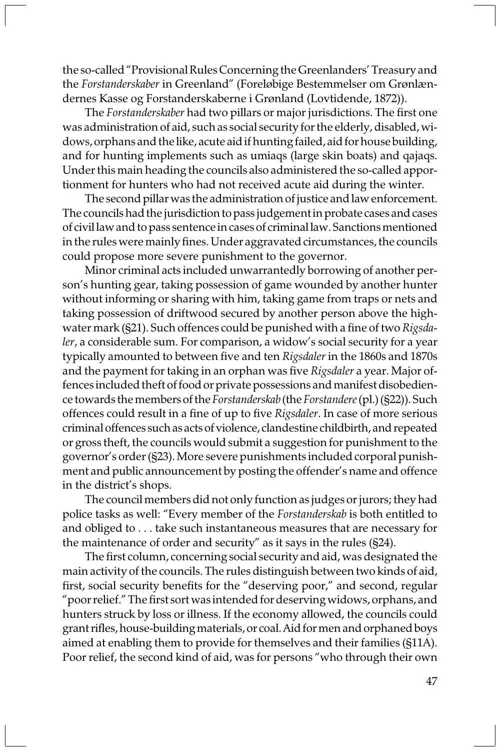the so-called "Provisional Rules Concerning the Greenlanders' Treasury and the Forstanderskaber in Greenland" (Foreløbige Bestemmelser om Grønlændernes Kasse og Forstanderskaberne i Grønland (Lovtidende, 1872)).

The Forstanderskaber had two pillars or major jurisdictions. The first one was administration of aid, such as social security for the elderly, disabled, widows, orphans and the like, acute aid if hunting failed, aid for house building, and for hunting implements such as umiaqs (large skin boats) and qajaqs. Under this main heading the councils also administered the so-called apportionment for hunters who had not received acute aid during the winter.

The second pillar was the administration of justice and law enforcement. The councils had the jurisdiction to pass judgement in probate cases and cases of civil law and to pass sentence in cases of criminal law. Sanctions mentioned in the rules were mainly fines. Under aggravated circumstances, the councils could propose more severe punishment to the governor.

Minor criminal acts included unwarrantedly borrowing of another person's hunting gear, taking possession of game wounded by another hunter without informing or sharing with him, taking game from traps or nets and taking possession of driftwood secured by another person above the highwater mark (§21). Such offences could be punished with a fine of two Rigsdaler, a considerable sum. For comparison, a widow's social security for a year typically amounted to between five and ten Rigsdaler in the 1860s and 1870s and the payment for taking in an orphan was five Rigsdaler a year. Major offences included theft of food or private possessions and manifest disobedience towards the members of the Forstanderskab (the Forstandere (pl.) (§22)). Such offences could result in a fine of up to five Rigsdaler. In case of more serious criminal offences such as acts of violence, clandestine childbirth, and repeated or gross theft, the councils would submit a suggestion for punishment to the governor's order (§23). More severe punishments included corporal punishment and public announcement by posting the offender's name and offence in the district's shops.

The council members did not only function as judges or jurors; they had police tasks as well: "Every member of the Forstanderskab is both entitled to and obliged to . . . take such instantaneous measures that are necessary for the maintenance of order and security" as it says in the rules (§24).

The first column, concerning social security and aid, was designated the main activity of the councils. The rules distinguish between two kinds of aid, first, social security benefits for the "deserving poor," and second, regular "poor relief." The first sort was intended for deserving widows, orphans, and hunters struck by loss or illness. If the economy allowed, the councils could grant rifles, house-building materials, or coal. Aid for men and orphaned boys aimed at enabling them to provide for themselves and their families (§11A). Poor relief, the second kind of aid, was for persons "who through their own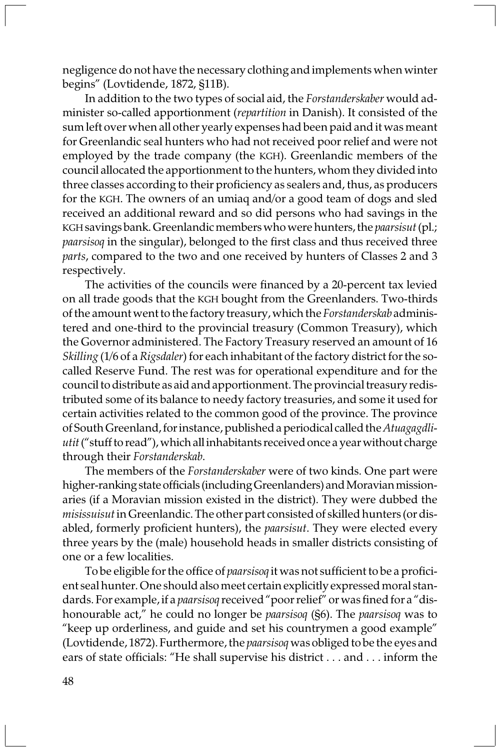negligence do not have the necessary clothing and implements when winter begins" (Lovtidende, 1872, §11B).

In addition to the two types of social aid, the Forstanderskaber would administer so-called apportionment (repartition in Danish). It consisted of the sum left over when all other yearly expenses had been paid and it was meant for Greenlandic seal hunters who had not received poor relief and were not employed by the trade company (the KGH). Greenlandic members of the council allocated the apportionment to the hunters, whom they divided into three classes according to their proficiency as sealers and, thus, as producers for the KGH. The owners of an umiaq and/or a good team of dogs and sled received an additional reward and so did persons who had savings in the KGH savings bank. Greenlandic members who were hunters, the paarsisut (pl.; paarsisoq in the singular), belonged to the first class and thus received three parts, compared to the two and one received by hunters of Classes 2 and 3 respectively.

The activities of the councils were financed by a 20-percent tax levied on all trade goods that the KGH bought from the Greenlanders. Two-thirds of the amount went to the factory treasury, which the Forstanderskab administered and one-third to the provincial treasury (Common Treasury), which the Governor administered. The Factory Treasury reserved an amount of 16 Skilling (1/6 of a Rigsdaler) for each inhabitant of the factory district for the socalled Reserve Fund. The rest was for operational expenditure and for the council to distribute as aid and apportionment. The provincial treasury redistributed some of its balance to needy factory treasuries, and some it used for certain activities related to the common good of the province. The province of South Greenland, for instance, published a periodical called the Atuagagdliutit ("stuff to read"), which all inhabitants received once a year without charge through their Forstanderskab.

The members of the Forstanderskaber were of two kinds. One part were higher-ranking state officials (including Greenlanders) and Moravian missionaries (if a Moravian mission existed in the district). They were dubbed the misissuisut in Greenlandic. The other part consisted of skilled hunters (or disabled, formerly proficient hunters), the *paarsisut*. They were elected every three years by the (male) household heads in smaller districts consisting of one or a few localities.

To be eligible for the office of *paarsisoq* it was not sufficient to be a proficient seal hunter. One should also meet certain explicitly expressed moral standards. For example, if a paarsisoq received "poor relief" or was fined for a "dishonourable act," he could no longer be *paarsisoq* (§6). The *paarsisoq* was to "keep up orderliness, and guide and set his countrymen a good example" (Lovtidende, 1872). Furthermore, the paarsisoq was obliged to be the eyes and ears of state officials: "He shall supervise his district . . . and . . . inform the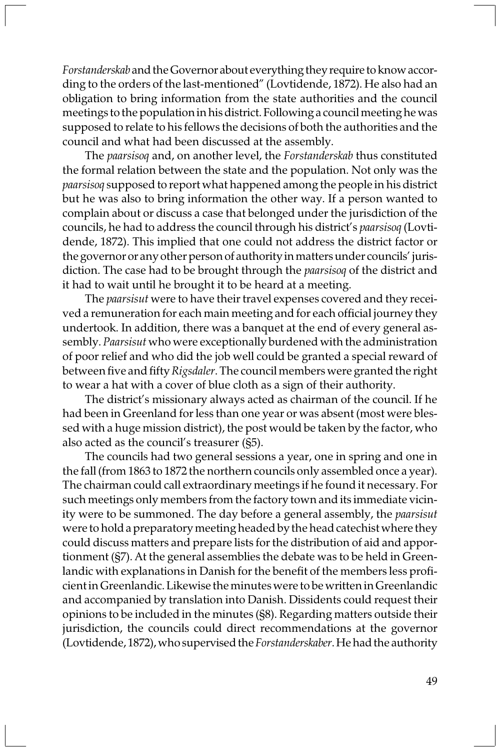Forstanderskab and the Governor about everything they require to know according to the orders of the last-mentioned" (Lovtidende, 1872). He also had an obligation to bring information from the state authorities and the council meetings to the population in his district. Following a council meeting he was supposed to relate to his fellows the decisions of both the authorities and the council and what had been discussed at the assembly.

The paarsisoq and, on another level, the Forstanderskab thus constituted the formal relation between the state and the population. Not only was the paarsisoq supposed to report what happened among the people in his district but he was also to bring information the other way. If a person wanted to complain about or discuss a case that belonged under the jurisdiction of the councils, he had to address the council through his district's paarsisoq (Lovtidende, 1872). This implied that one could not address the district factor or the governor or any other person of authority in matters under councils' jurisdiction. The case had to be brought through the *paarsisoq* of the district and it had to wait until he brought it to be heard at a meeting.

The *paarsisut* were to have their travel expenses covered and they received a remuneration for each main meeting and for each official journey they undertook. In addition, there was a banquet at the end of every general assembly. Paarsisut who were exceptionally burdened with the administration of poor relief and who did the job well could be granted a special reward of between five and fifty Rigsdaler. The council members were granted the right to wear a hat with a cover of blue cloth as a sign of their authority.

The district's missionary always acted as chairman of the council. If he had been in Greenland for less than one year or was absent (most were blessed with a huge mission district), the post would be taken by the factor, who also acted as the council's treasurer (§5).

The councils had two general sessions a year, one in spring and one in the fall (from 1863 to 1872 the northern councils only assembled once a year). The chairman could call extraordinary meetings if he found it necessary. For such meetings only members from the factory town and its immediate vicinity were to be summoned. The day before a general assembly, the paarsisut were to hold a preparatory meeting headed by the head catechist where they could discuss matters and prepare lists for the distribution of aid and apportionment (§7). At the general assemblies the debate was to be held in Greenlandic with explanations in Danish for the benefit of the members less proficient in Greenlandic. Likewise the minutes were to be written in Greenlandic and accompanied by translation into Danish. Dissidents could request their opinions to be included in the minutes (§8). Regarding matters outside their jurisdiction, the councils could direct recommendations at the governor (Lovtidende, 1872), who supervised the Forstanderskaber. He had the authority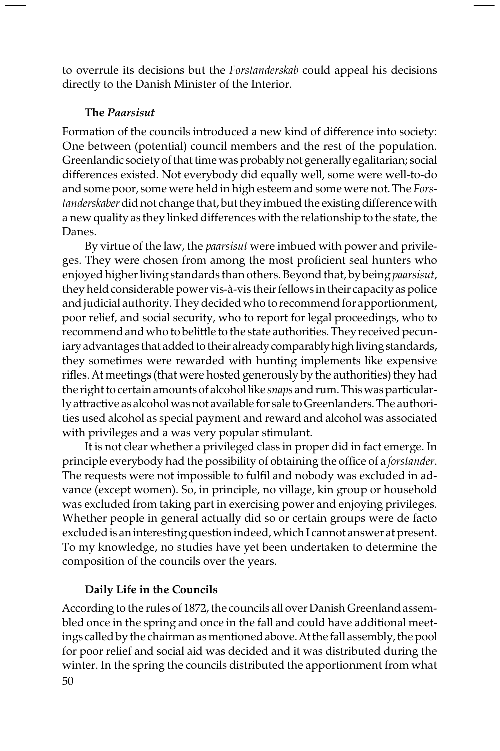to overrule its decisions but the Forstanderskab could appeal his decisions directly to the Danish Minister of the Interior.

### The Paarsisut

Formation of the councils introduced a new kind of difference into society: One between (potential) council members and the rest of the population. Greenlandic society of that time was probably not generally egalitarian; social differences existed. Not everybody did equally well, some were well-to-do and some poor, some were held in high esteem and some were not. The *Fors*tanderskaber did not change that, but they imbued the existing difference with a new quality as they linked differences with the relationship to the state, the Danes.

By virtue of the law, the *paarsisut* were imbued with power and privileges. They were chosen from among the most proficient seal hunters who enjoyed higher living standards than others. Beyond that, by being *paarsisut*, they held considerable power vis-à-vis their fellows in their capacity as police and judicial authority. They decided who to recommend for apportionment, poor relief, and social security, who to report for legal proceedings, who to recommend and who to belittle to the state authorities. They received pecuniary advantages that added to their already comparably high living standards, they sometimes were rewarded with hunting implements like expensive rifles. At meetings (that were hosted generously by the authorities) they had the right to certain amounts of alcohol like snaps and rum. This was particularly attractive as alcohol was not available for sale to Greenlanders. The authorities used alcohol as special payment and reward and alcohol was associated with privileges and a was very popular stimulant.

It is not clear whether a privileged class in proper did in fact emerge. In principle everybody had the possibility of obtaining the office of a forstander. The requests were not impossible to fulfil and nobody was excluded in advance (except women). So, in principle, no village, kin group or household was excluded from taking part in exercising power and enjoying privileges. Whether people in general actually did so or certain groups were de facto excluded is an interesting question indeed, which I cannot answer at present. To my knowledge, no studies have yet been undertaken to determine the composition of the councils over the years.

#### Daily Life in the Councils

50 According to the rules of 1872, the councils all over Danish Greenland assembled once in the spring and once in the fall and could have additional meetings called by the chairman as mentioned above. At the fall assembly, the pool for poor relief and social aid was decided and it was distributed during the winter. In the spring the councils distributed the apportionment from what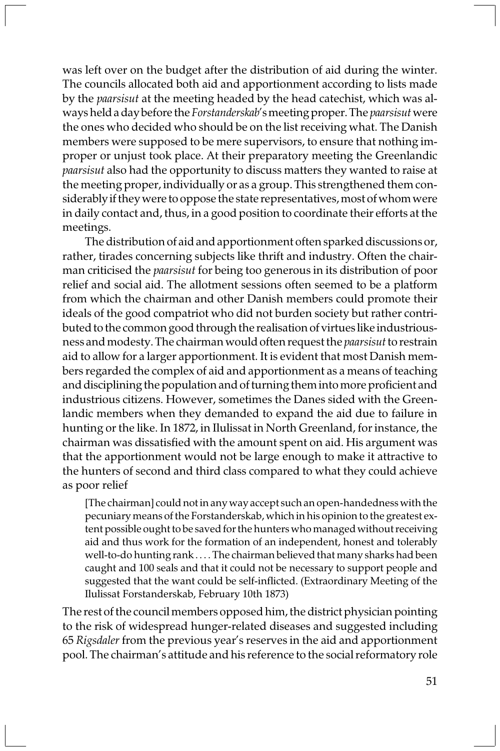was left over on the budget after the distribution of aid during the winter. The councils allocated both aid and apportionment according to lists made by the paarsisut at the meeting headed by the head catechist, which was always held a day before the Forstanderskab's meeting proper. The paarsisut were the ones who decided who should be on the list receiving what. The Danish members were supposed to be mere supervisors, to ensure that nothing improper or unjust took place. At their preparatory meeting the Greenlandic paarsisut also had the opportunity to discuss matters they wanted to raise at the meeting proper, individually or as a group. This strengthened them considerably if they were to oppose the state representatives, most of whom were in daily contact and, thus, in a good position to coordinate their efforts at the meetings.

The distribution of aid and apportionment often sparked discussions or, rather, tirades concerning subjects like thrift and industry. Often the chairman criticised the paarsisut for being too generous in its distribution of poor relief and social aid. The allotment sessions often seemed to be a platform from which the chairman and other Danish members could promote their ideals of the good compatriot who did not burden society but rather contributed to the common good through the realisation of virtues like industriousness and modesty. The chairman would often request the paarsisut to restrain aid to allow for a larger apportionment. It is evident that most Danish members regarded the complex of aid and apportionment as a means of teaching and disciplining the population and of turning them into more proficient and industrious citizens. However, sometimes the Danes sided with the Greenlandic members when they demanded to expand the aid due to failure in hunting or the like. In 1872, in Ilulissat in North Greenland, for instance, the chairman was dissatisfied with the amount spent on aid. His argument was that the apportionment would not be large enough to make it attractive to the hunters of second and third class compared to what they could achieve as poor relief

[The chairman] could not in any way accept such an open-handedness with the pecuniary means of the Forstanderskab, which in his opinion to the greatest extent possible ought to be saved for the hunters who managed without receiving aid and thus work for the formation of an independent, honest and tolerably well-to-do hunting rank . . . . The chairman believed that many sharks had been caught and 100 seals and that it could not be necessary to support people and suggested that the want could be self-inflicted. (Extraordinary Meeting of the Ilulissat Forstanderskab, February 10th 1873)

The rest of the council members opposed him, the district physician pointing to the risk of widespread hunger-related diseases and suggested including 65 Rigsdaler from the previous year's reserves in the aid and apportionment pool. The chairman's attitude and his reference to the social reformatory role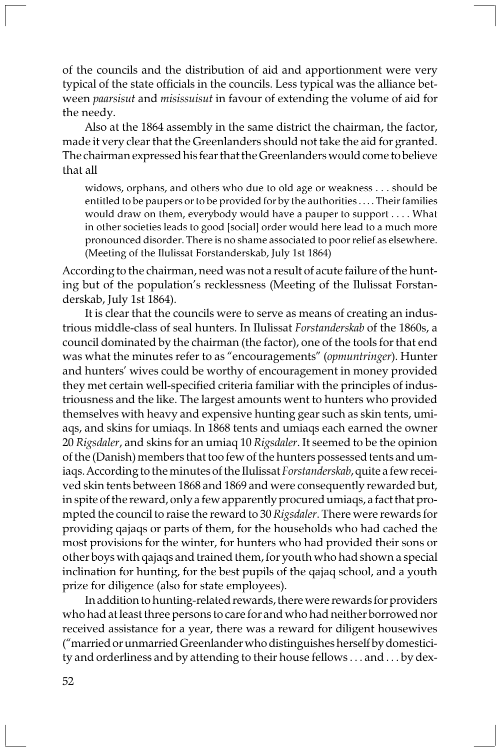of the councils and the distribution of aid and apportionment were very typical of the state officials in the councils. Less typical was the alliance between paarsisut and misissuisut in favour of extending the volume of aid for the needy.

Also at the 1864 assembly in the same district the chairman, the factor, made it very clear that the Greenlanders should not take the aid for granted. The chairman expressed his fear that the Greenlanders would come to believe that all

widows, orphans, and others who due to old age or weakness . . . should be entitled to be paupers or to be provided for by the authorities . . . . Their families would draw on them, everybody would have a pauper to support . . . . What in other societies leads to good [social] order would here lead to a much more pronounced disorder. There is no shame associated to poor relief as elsewhere. (Meeting of the Ilulissat Forstanderskab, July 1st 1864)

According to the chairman, need was not a result of acute failure of the hunting but of the population's recklessness (Meeting of the Ilulissat Forstanderskab, July 1st 1864).

It is clear that the councils were to serve as means of creating an industrious middle-class of seal hunters. In Ilulissat Forstanderskab of the 1860s, a council dominated by the chairman (the factor), one of the tools for that end was what the minutes refer to as "encouragements" (opmuntringer). Hunter and hunters' wives could be worthy of encouragement in money provided they met certain well-specified criteria familiar with the principles of industriousness and the like. The largest amounts went to hunters who provided themselves with heavy and expensive hunting gear such as skin tents, umiaqs, and skins for umiaqs. In 1868 tents and umiaqs each earned the owner 20 Rigsdaler, and skins for an umiaq 10 Rigsdaler. It seemed to be the opinion of the (Danish) members that too few of the hunters possessed tents and umiaqs. According to the minutes of the Ilulissat Forstanderskab, quite a few received skin tents between 1868 and 1869 and were consequently rewarded but, in spite of the reward, only a few apparently procured umiaqs, a fact that prompted the council to raise the reward to 30 Rigsdaler. There were rewards for providing qajaqs or parts of them, for the households who had cached the most provisions for the winter, for hunters who had provided their sons or other boys with qajaqs and trained them, for youth who had shown a special inclination for hunting, for the best pupils of the qajaq school, and a youth prize for diligence (also for state employees).

In addition to hunting-related rewards, there were rewards for providers who had at least three persons to care for and who had neither borrowed nor received assistance for a year, there was a reward for diligent housewives ("married or unmarried Greenlander who distinguishes herself by domesticity and orderliness and by attending to their house fellows . . . and . . . by dex-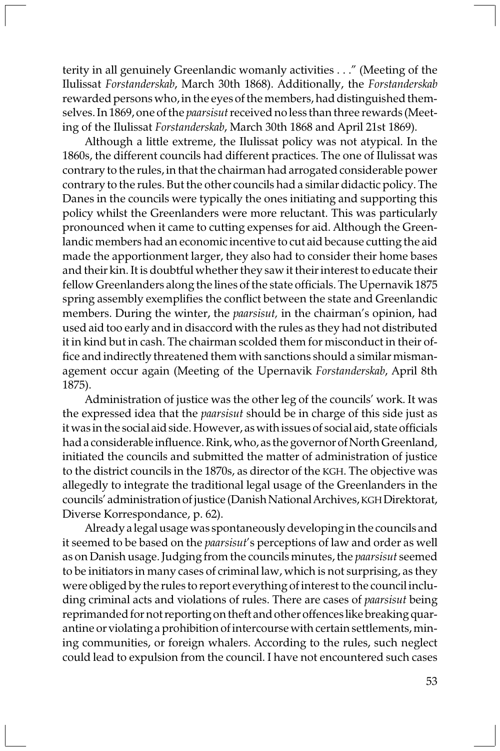terity in all genuinely Greenlandic womanly activities . . ." (Meeting of the Ilulissat Forstanderskab, March 30th 1868). Additionally, the Forstanderskab rewarded persons who, in the eyes of the members, had distinguished themselves. In 1869, one of the paarsisut received no less than three rewards (Meeting of the Ilulissat Forstanderskab, March 30th 1868 and April 21st 1869).

Although a little extreme, the Ilulissat policy was not atypical. In the 1860s, the different councils had different practices. The one of Ilulissat was contrary to the rules, in that the chairman had arrogated considerable power contrary to the rules. But the other councils had a similar didactic policy. The Danes in the councils were typically the ones initiating and supporting this policy whilst the Greenlanders were more reluctant. This was particularly pronounced when it came to cutting expenses for aid. Although the Greenlandic members had an economic incentive to cut aid because cutting the aid made the apportionment larger, they also had to consider their home bases and their kin. It is doubtful whether they saw it their interest to educate their fellow Greenlanders along the lines of the state officials. The Upernavik 1875 spring assembly exemplifies the conflict between the state and Greenlandic members. During the winter, the paarsisut, in the chairman's opinion, had used aid too early and in disaccord with the rules as they had not distributed it in kind but in cash. The chairman scolded them for misconduct in their office and indirectly threatened them with sanctions should a similar mismanagement occur again (Meeting of the Upernavik Forstanderskab, April 8th 1875).

Administration of justice was the other leg of the councils' work. It was the expressed idea that the paarsisut should be in charge of this side just as it was in the social aid side. However, as with issues of social aid, state officials had a considerable influence. Rink, who, as the governor of North Greenland, initiated the councils and submitted the matter of administration of justice to the district councils in the 1870s, as director of the KGH. The objective was allegedly to integrate the traditional legal usage of the Greenlanders in the councils' administration of justice (Danish National Archives, KGH Direktorat, Diverse Korrespondance, p. 62).

Already a legal usage was spontaneously developing in the councils and it seemed to be based on the *paarsisut's* perceptions of law and order as well as on Danish usage. Judging from the councils minutes, the *paarsisut* seemed to be initiators in many cases of criminal law, which is not surprising, as they were obliged by the rules to report everything of interest to the council including criminal acts and violations of rules. There are cases of paarsisut being reprimanded for not reporting on theft and other offences like breaking quarantine or violating a prohibition of intercourse with certain settlements, mining communities, or foreign whalers. According to the rules, such neglect could lead to expulsion from the council. I have not encountered such cases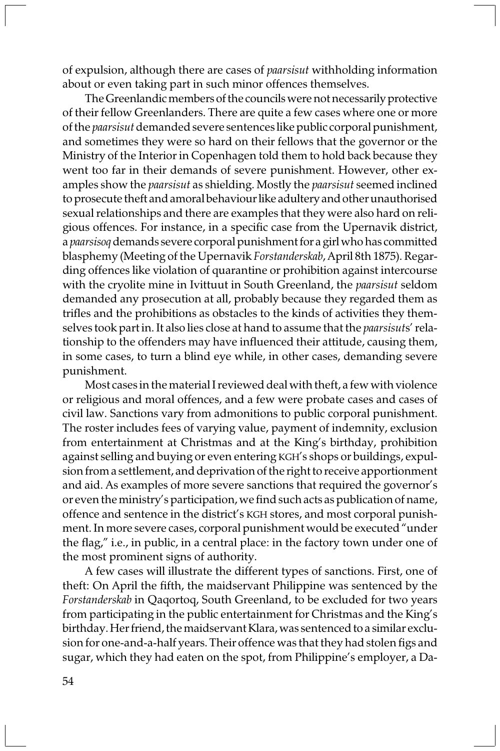of expulsion, although there are cases of paarsisut withholding information about or even taking part in such minor offences themselves.

The Greenlandic members of the councils were not necessarily protective of their fellow Greenlanders. There are quite a few cases where one or more of the paarsisut demanded severe sentences like public corporal punishment, and sometimes they were so hard on their fellows that the governor or the Ministry of the Interior in Copenhagen told them to hold back because they went too far in their demands of severe punishment. However, other examples show the paarsisut as shielding. Mostly the paarsisut seemed inclined to prosecute theft and amoral behaviour like adultery and other unauthorised sexual relationships and there are examples that they were also hard on religious offences. For instance, in a specific case from the Upernavik district, a paarsisoq demands severe corporal punishment for a girl who has committed blasphemy (Meeting of the Upernavik Forstanderskab, April 8th 1875). Regarding offences like violation of quarantine or prohibition against intercourse with the cryolite mine in Ivittuut in South Greenland, the paarsisut seldom demanded any prosecution at all, probably because they regarded them as trifles and the prohibitions as obstacles to the kinds of activities they themselves took part in. It also lies close at hand to assume that the *paarsisuts'* relationship to the offenders may have influenced their attitude, causing them, in some cases, to turn a blind eye while, in other cases, demanding severe punishment.

Most cases in the material I reviewed deal with theft, a few with violence or religious and moral offences, and a few were probate cases and cases of civil law. Sanctions vary from admonitions to public corporal punishment. The roster includes fees of varying value, payment of indemnity, exclusion from entertainment at Christmas and at the King's birthday, prohibition against selling and buying or even entering KGH's shops or buildings, expulsion from a settlement, and deprivation of the right to receive apportionment and aid. As examples of more severe sanctions that required the governor's or even the ministry's participation, we find such acts as publication of name, offence and sentence in the district's KGH stores, and most corporal punishment. In more severe cases, corporal punishment would be executed "under the flag," i.e., in public, in a central place: in the factory town under one of the most prominent signs of authority.

A few cases will illustrate the different types of sanctions. First, one of theft: On April the fifth, the maidservant Philippine was sentenced by the Forstanderskab in Qaqortoq, South Greenland, to be excluded for two years from participating in the public entertainment for Christmas and the King's birthday. Her friend, the maidservant Klara, was sentenced to a similar exclusion for one-and-a-half years. Their offence was that they had stolen figs and sugar, which they had eaten on the spot, from Philippine's employer, a Da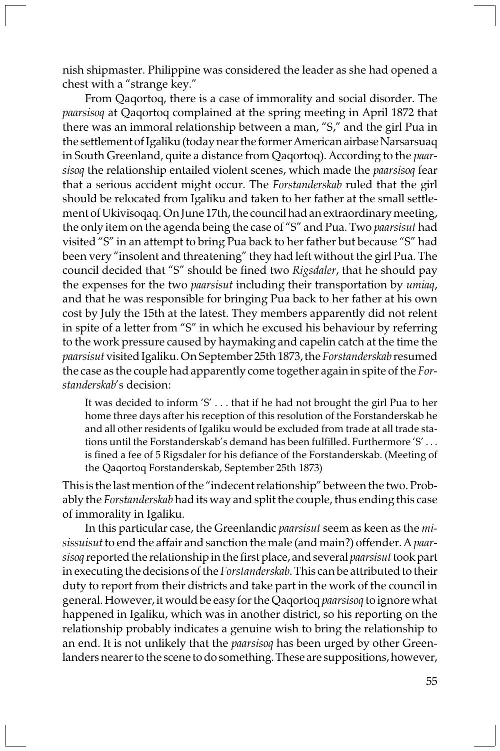nish shipmaster. Philippine was considered the leader as she had opened a chest with a "strange key."

From Qaqortoq, there is a case of immorality and social disorder. The paarsisoq at Qaqortoq complained at the spring meeting in April 1872 that there was an immoral relationship between a man, "S," and the girl Pua in the settlement of Igaliku (today near the former American airbase Narsarsuaq in South Greenland, quite a distance from Qaqortoq). According to the paarsisoq the relationship entailed violent scenes, which made the paarsisoq fear that a serious accident might occur. The Forstanderskab ruled that the girl should be relocated from Igaliku and taken to her father at the small settlement of Ukivisoqaq. On June 17th, the council had an extraordinary meeting, the only item on the agenda being the case of "S" and Pua. Two paarsisut had visited "S" in an attempt to bring Pua back to her father but because "S" had been very "insolent and threatening" they had left without the girl Pua. The council decided that "S" should be fined two Rigsdaler, that he should pay the expenses for the two paarsisut including their transportation by umiaq, and that he was responsible for bringing Pua back to her father at his own cost by July the 15th at the latest. They members apparently did not relent in spite of a letter from "S" in which he excused his behaviour by referring to the work pressure caused by haymaking and capelin catch at the time the paarsisut visited Igaliku. On September 25th 1873, the Forstanderskab resumed the case as the couple had apparently come together again in spite of the Forstanderskab's decision:

It was decided to inform 'S' . . . that if he had not brought the girl Pua to her home three days after his reception of this resolution of the Forstanderskab he and all other residents of Igaliku would be excluded from trade at all trade stations until the Forstanderskab's demand has been fulfilled. Furthermore 'S' . . . is fined a fee of 5 Rigsdaler for his defiance of the Forstanderskab. (Meeting of the Qaqortoq Forstanderskab, September 25th 1873)

This is the last mention of the "indecent relationship" between the two. Probably the Forstanderskab had its way and split the couple, thus ending this case of immorality in Igaliku.

In this particular case, the Greenlandic paarsisut seem as keen as the misissuisut to end the affair and sanction the male (and main?) offender. A paarsisoq reported the relationship in the first place, and several paarsisut took part in executing the decisions of the Forstanderskab. This can be attributed to their duty to report from their districts and take part in the work of the council in general. However, it would be easy for the Qaqortoq paarsisoq to ignore what happened in Igaliku, which was in another district, so his reporting on the relationship probably indicates a genuine wish to bring the relationship to an end. It is not unlikely that the *paarsisoq* has been urged by other Greenlanders nearer to the scene to do something. These are suppositions, however,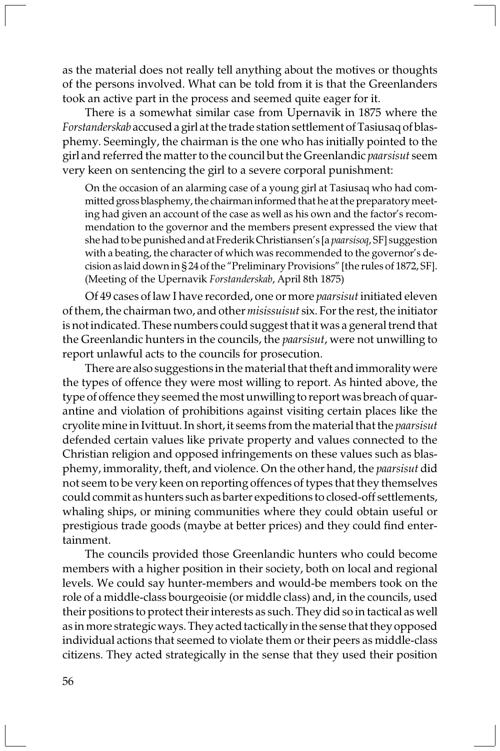as the material does not really tell anything about the motives or thoughts of the persons involved. What can be told from it is that the Greenlanders took an active part in the process and seemed quite eager for it.

There is a somewhat similar case from Upernavik in 1875 where the Forstanderskab accused a girl at the trade station settlement of Tasiusaq of blasphemy. Seemingly, the chairman is the one who has initially pointed to the girl and referred the matter to the council but the Greenlandic *paarsisut* seem very keen on sentencing the girl to a severe corporal punishment:

On the occasion of an alarming case of a young girl at Tasiusaq who had committed gross blasphemy, the chairman informed that he at the preparatory meeting had given an account of the case as well as his own and the factor's recommendation to the governor and the members present expressed the view that she had to be punished and at Frederik Christiansen's [a paarsisoq, SF] suggestion with a beating, the character of which was recommended to the governor's decision as laid down in § 24 of the "Preliminary Provisions" [the rules of 1872, SF]. (Meeting of the Upernavik Forstanderskab, April 8th 1875)

Of 49 cases of law I have recorded, one or more paarsisut initiated eleven of them, the chairman two, and other misissuisut six. For the rest, the initiator is not indicated. These numbers could suggest that it was a general trend that the Greenlandic hunters in the councils, the *paarsisut*, were not unwilling to report unlawful acts to the councils for prosecution.

There are also suggestions in the material that theft and immorality were the types of offence they were most willing to report. As hinted above, the type of offence they seemed the most unwilling to report was breach of quarantine and violation of prohibitions against visiting certain places like the cryolite mine in Ivittuut. In short, it seems from the material that the paarsisut defended certain values like private property and values connected to the Christian religion and opposed infringements on these values such as blasphemy, immorality, theft, and violence. On the other hand, the paarsisut did not seem to be very keen on reporting offences of types that they themselves could commit as hunters such as barter expeditions to closed-off settlements, whaling ships, or mining communities where they could obtain useful or prestigious trade goods (maybe at better prices) and they could find entertainment.

The councils provided those Greenlandic hunters who could become members with a higher position in their society, both on local and regional levels. We could say hunter-members and would-be members took on the role of a middle-class bourgeoisie (or middle class) and, in the councils, used their positions to protect their interests as such. They did so in tactical as well as in more strategic ways. They acted tactically in the sense that they opposed individual actions that seemed to violate them or their peers as middle-class citizens. They acted strategically in the sense that they used their position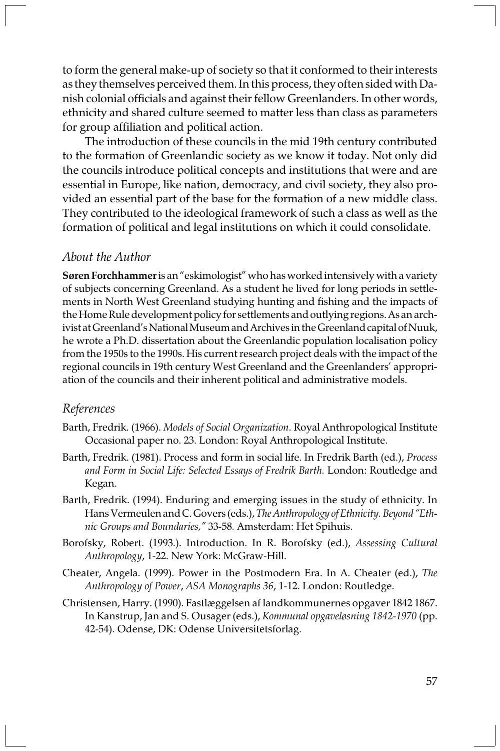to form the general make-up of society so that it conformed to their interests as they themselves perceived them. In this process, they often sided with Danish colonial officials and against their fellow Greenlanders. In other words, ethnicity and shared culture seemed to matter less than class as parameters for group affiliation and political action.

The introduction of these councils in the mid 19th century contributed to the formation of Greenlandic society as we know it today. Not only did the councils introduce political concepts and institutions that were and are essential in Europe, like nation, democracy, and civil society, they also provided an essential part of the base for the formation of a new middle class. They contributed to the ideological framework of such a class as well as the formation of political and legal institutions on which it could consolidate.

# About the Author

Søren Forchhammer is an "eskimologist" who has worked intensively with a variety of subjects concerning Greenland. As a student he lived for long periods in settlements in North West Greenland studying hunting and fishing and the impacts of the Home Rule development policy for settlements and outlying regions. As an archivist at Greenland's National Museum and Archives in the Greenland capital of Nuuk, he wrote a Ph.D. dissertation about the Greenlandic population localisation policy from the 1950s to the 1990s. His current research project deals with the impact of the regional councils in 19th century West Greenland and the Greenlanders' appropriation of the councils and their inherent political and administrative models.

#### References

- Barth, Fredrik. (1966). Models of Social Organization. Royal Anthropological Institute Occasional paper no. 23. London: Royal Anthropological Institute.
- Barth, Fredrik. (1981). Process and form in social life. In Fredrik Barth (ed.), Process and Form in Social Life: Selected Essays of Fredrik Barth. London: Routledge and Kegan.
- Barth, Fredrik. (1994). Enduring and emerging issues in the study of ethnicity. In Hans Vermeulen and C. Govers (eds.), The Anthropology of Ethnicity. Beyond "Ethnic Groups and Boundaries," 33-58. Amsterdam: Het Spihuis.
- Borofsky, Robert. (1993.). Introduction. In R. Borofsky (ed.), Assessing Cultural Anthropology, 1-22. New York: McGraw-Hill.
- Cheater, Angela. (1999). Power in the Postmodern Era. In A. Cheater (ed.), The Anthropology of Power, ASA Monographs 36, 1-12. London: Routledge.
- Christensen, Harry. (1990). Fastlæggelsen af landkommunernes opgaver 1842 1867. In Kanstrup, Jan and S. Ousager (eds.), Kommunal opgaveløsning 1842-1970 (pp. 42-54). Odense, DK: Odense Universitetsforlag.